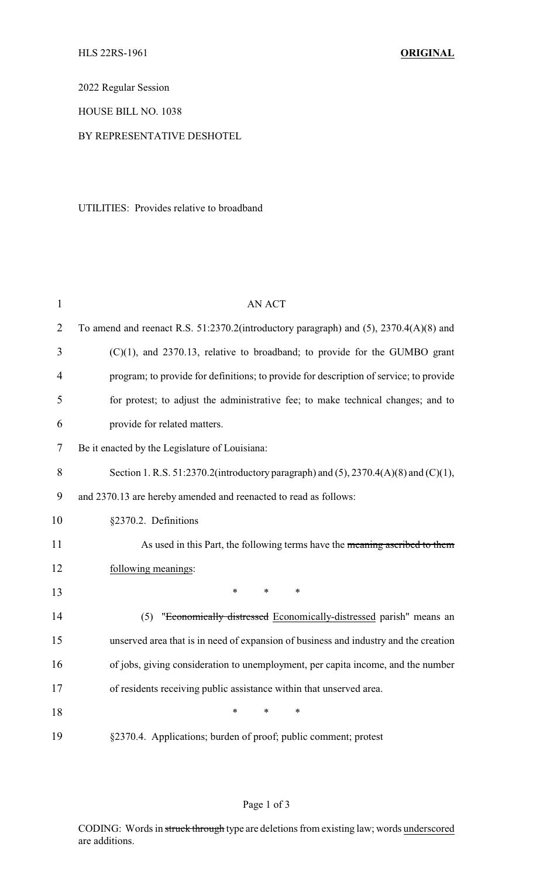2022 Regular Session

HOUSE BILL NO. 1038

## BY REPRESENTATIVE DESHOTEL

UTILITIES: Provides relative to broadband

| $\mathbf{1}$   | <b>AN ACT</b>                                                                          |
|----------------|----------------------------------------------------------------------------------------|
| $\overline{2}$ | To amend and reenact R.S. 51:2370.2(introductory paragraph) and (5), 2370.4(A)(8) and  |
| 3              | $(C)(1)$ , and 2370.13, relative to broadband; to provide for the GUMBO grant          |
| 4              | program; to provide for definitions; to provide for description of service; to provide |
| 5              | for protest; to adjust the administrative fee; to make technical changes; and to       |
| 6              | provide for related matters.                                                           |
| 7              | Be it enacted by the Legislature of Louisiana:                                         |
| 8              | Section 1. R.S. 51:2370.2(introductory paragraph) and (5), 2370.4(A)(8) and (C)(1),    |
| 9              | and 2370.13 are hereby amended and reenacted to read as follows:                       |
| 10             | §2370.2. Definitions                                                                   |
| 11             | As used in this Part, the following terms have the meaning ascribed to them            |
| 12             | following meanings:                                                                    |
| 13             | $\ast$<br>$\ast$<br>*                                                                  |
| 14             | "Economically distressed Economically-distressed parish" means an<br>(5)               |
| 15             | unserved area that is in need of expansion of business and industry and the creation   |
| 16             | of jobs, giving consideration to unemployment, per capita income, and the number       |
| 17             | of residents receiving public assistance within that unserved area.                    |
| 18             | $\ast$<br>*<br>$\ast$                                                                  |
| 19             | §2370.4. Applications; burden of proof; public comment; protest                        |

## Page 1 of 3

CODING: Words in struck through type are deletions from existing law; words underscored are additions.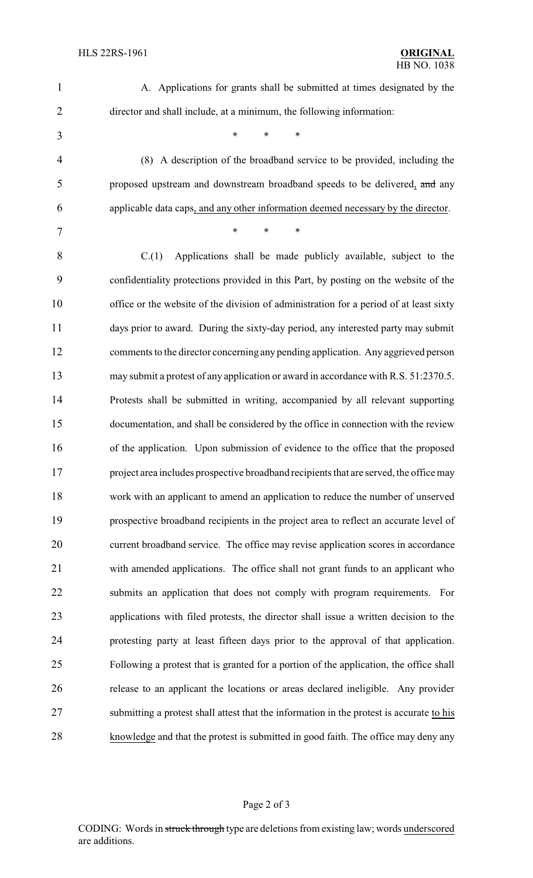| $\mathbf{1}$   | A. Applications for grants shall be submitted at times designated by the                 |
|----------------|------------------------------------------------------------------------------------------|
| $\overline{2}$ | director and shall include, at a minimum, the following information:                     |
| 3              | $\ast$<br>$\ast$<br>$\ast$                                                               |
| $\overline{4}$ | (8) A description of the broadband service to be provided, including the                 |
| 5              | proposed upstream and downstream broadband speeds to be delivered, and any               |
| 6              | applicable data caps, and any other information deemed necessary by the director.        |
| 7              | $\ast$<br>*<br>$\ast$                                                                    |
| 8              | Applications shall be made publicly available, subject to the<br>C(1)                    |
| 9              | confidentiality protections provided in this Part, by posting on the website of the      |
| 10             | office or the website of the division of administration for a period of at least sixty   |
| 11             | days prior to award. During the sixty-day period, any interested party may submit        |
| 12             | comments to the director concerning any pending application. Any aggrieved person        |
| 13             | may submit a protest of any application or award in accordance with R.S. 51:2370.5.      |
| 14             | Protests shall be submitted in writing, accompanied by all relevant supporting           |
| 15             | documentation, and shall be considered by the office in connection with the review       |
| 16             | of the application. Upon submission of evidence to the office that the proposed          |
| 17             | project area includes prospective broadband recipients that are served, the office may   |
| 18             | work with an applicant to amend an application to reduce the number of unserved          |
| 19             | prospective broadband recipients in the project area to reflect an accurate level of     |
| 20             | current broadband service. The office may revise application scores in accordance        |
| 21             | with amended applications. The office shall not grant funds to an applicant who          |
| 22             | submits an application that does not comply with program requirements. For               |
| 23             | applications with filed protests, the director shall issue a written decision to the     |
| 24             | protesting party at least fifteen days prior to the approval of that application.        |
| 25             | Following a protest that is granted for a portion of the application, the office shall   |
| 26             | release to an applicant the locations or areas declared ineligible. Any provider         |
| 27             | submitting a protest shall attest that the information in the protest is accurate to his |
| 28             | knowledge and that the protest is submitted in good faith. The office may deny any       |